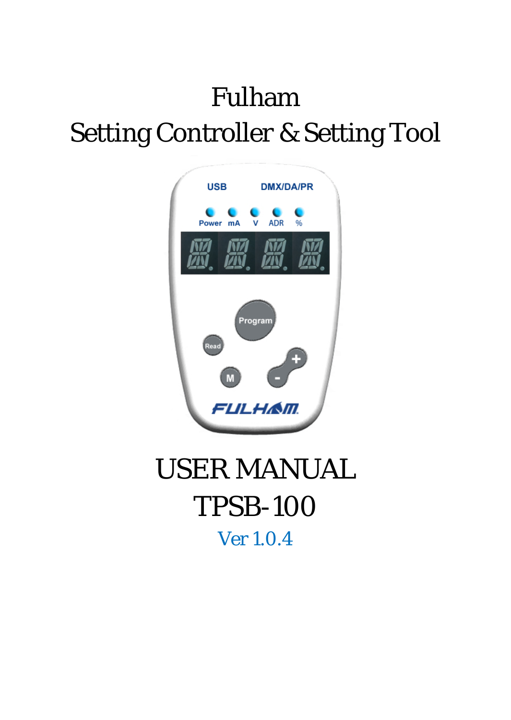## Fulham Setting Controller & Setting Tool



# USER MANUAL TPSB-100

Ver 1.0.4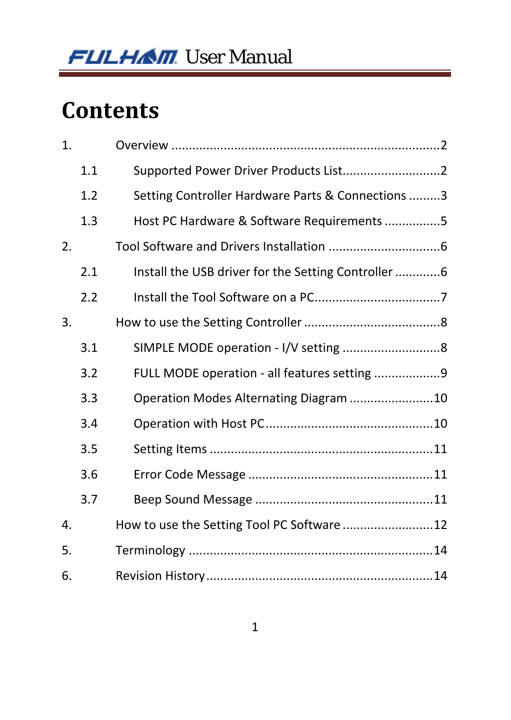## **Contents**

| 1. |     |                                                   |  |
|----|-----|---------------------------------------------------|--|
|    | 1.1 |                                                   |  |
|    | 1.2 | Setting Controller Hardware Parts & Connections 3 |  |
|    | 1.3 | Host PC Hardware & Software Requirements5         |  |
| 2. |     |                                                   |  |
|    | 2.1 |                                                   |  |
|    | 2.2 |                                                   |  |
| 3. |     |                                                   |  |
|    | 3.1 |                                                   |  |
|    | 3.2 | FULL MODE operation - all features setting 9      |  |
|    | 3.3 | Operation Modes Alternating Diagram 10            |  |
|    | 3.4 |                                                   |  |
|    | 3.5 |                                                   |  |
|    | 3.6 |                                                   |  |
|    | 3.7 |                                                   |  |
| 4. |     | How to use the Setting Tool PC Software12         |  |
| 5. |     |                                                   |  |
| 6. |     |                                                   |  |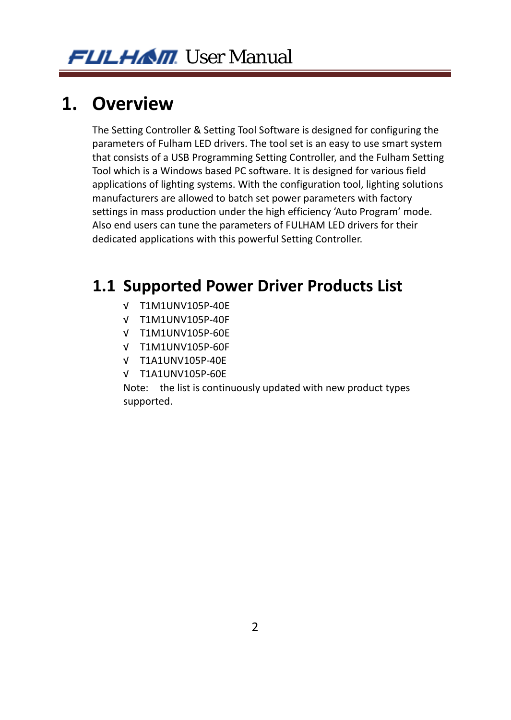#### **1. Overview**

The Setting Controller & Setting Tool Software is designed for configuring the parameters of Fulham LED drivers. The tool set is an easy to use smart system that consists of a USB Programming Setting Controller, and the Fulham Setting Tool which is a Windows based PC software. It is designed for various field applications of lighting systems. With the configuration tool, lighting solutions manufacturers are allowed to batch set power parameters with factory settings in mass production under the high efficiency 'Auto Program' mode. Also end users can tune the parameters of FULHAM LED drivers for their dedicated applications with this powerful Setting Controller.

#### **1.1 Supported Power Driver Products List**

- √ T1M1UNV105P‐40E
- √ T1M1UNV105P‐40F
- √ T1M1UNV105P‐60E
- √ T1M1UNV105P‐60F
- √ T1A1UNV105P‐40E
- √ T1A1UNV105P‐60E

Note: the list is continuously updated with new product types supported.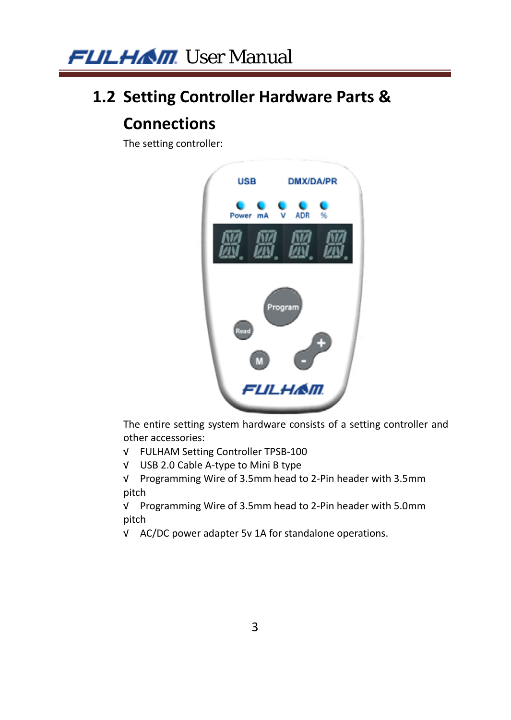#### **1.2 Setting Controller Hardware Parts &**

#### **Connections**

The setting controller:



The entire setting system hardware consists of a setting controller and other accessories:

- √ FULHAM Setting Controller TPSB‐100
- √ USB 2.0 Cable A‐type to Mini B type

√ Programming Wire of 3.5mm head to 2‐Pin header with 3.5mm pitch

√ Programming Wire of 3.5mm head to 2‐Pin header with 5.0mm pitch

√ AC/DC power adapter 5v 1A for standalone operations.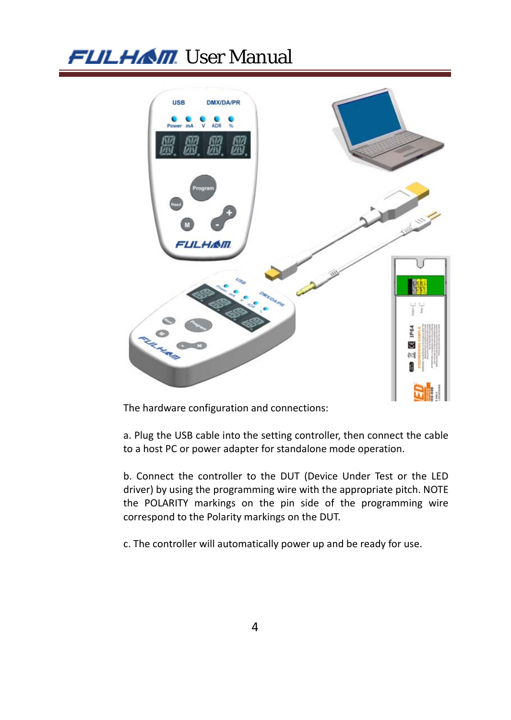### **FULHAM** User Manual



The hardware configuration and connections:

a. Plug the USB cable into the setting controller, then connect the cable to a host PC or power adapter for standalone mode operation.

b. Connect the controller to the DUT (Device Under Test or the LED driver) by using the programming wire with the appropriate pitch. NOTE the POLARITY markings on the pin side of the programming wire correspond to the Polarity markings on the DUT.

c. The controller will automatically power up and be ready for use.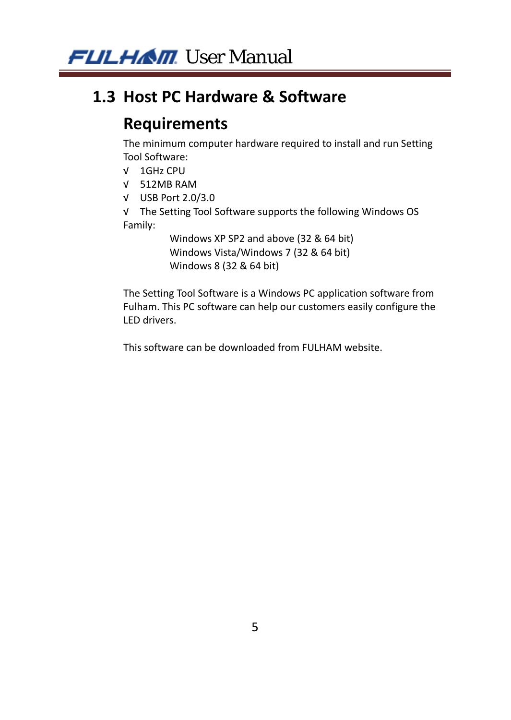#### **1.3 Host PC Hardware & Software**

#### **Requirements**

The minimum computer hardware required to install and run Setting Tool Software:

- √ 1GHz CPU
- √ 512MB RAM
- √ USB Port 2.0/3.0

√ The Setting Tool Software supports the following Windows OS Family:

> Windows XP SP2 and above (32 & 64 bit) Windows Vista/Windows 7 (32 & 64 bit) Windows 8 (32 & 64 bit)

The Setting Tool Software is a Windows PC application software from Fulham. This PC software can help our customers easily configure the LED drivers.

This software can be downloaded from FULHAM website.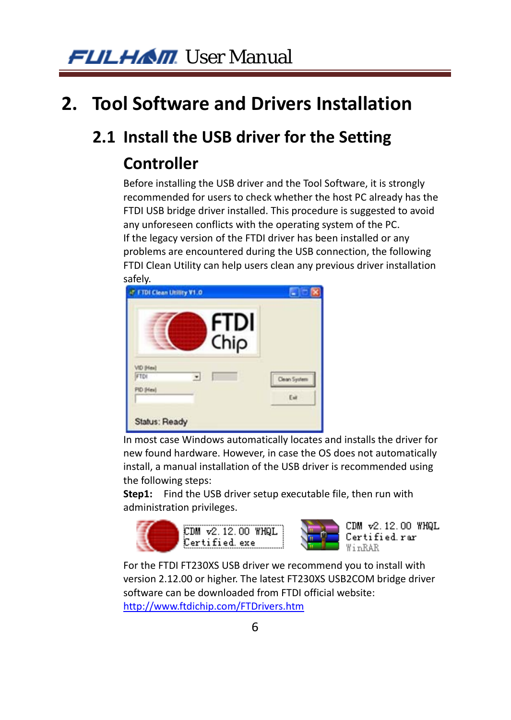**FLIL HAIT** User Manual

#### **2. Tool Software and Drivers Installation**

#### **2.1 Install the USB driver for the Setting**

#### **Controller**

Before installing the USB driver and the Tool Software, it is strongly recommended for users to check whether the host PC already has the FTDI USB bridge driver installed. This procedure is suggested to avoid any unforeseen conflicts with the operating system of the PC. If the legacy version of the FTDI driver has been installed or any problems are encountered during the USB connection, the following FTDI Clean Utility can help users clean any previous driver installation safely.

|                                                      | FTDI |              |
|------------------------------------------------------|------|--------------|
|                                                      | Chip |              |
| <b>VID [Heal]</b><br><b>FTDI</b><br><b>FID (Hes)</b> |      | Clean System |
|                                                      |      | Eur          |

In most case Windows automatically locates and installs the driver for new found hardware. However, in case the OS does not automatically install, a manual installation of the USB driver is recommended using the following steps:

Step1: Find the USB driver setup executable file, then run with administration privileges.





CDM v2.12.00 WHQL Certified.rar

For the FTDI FT230XS USB driver we recommend you to install with version 2.12.00 or higher. The latest FT230XS USB2COM bridge driver software can be downloaded from FTDI official website: http://www.ftdichip.com/FTDrivers.htm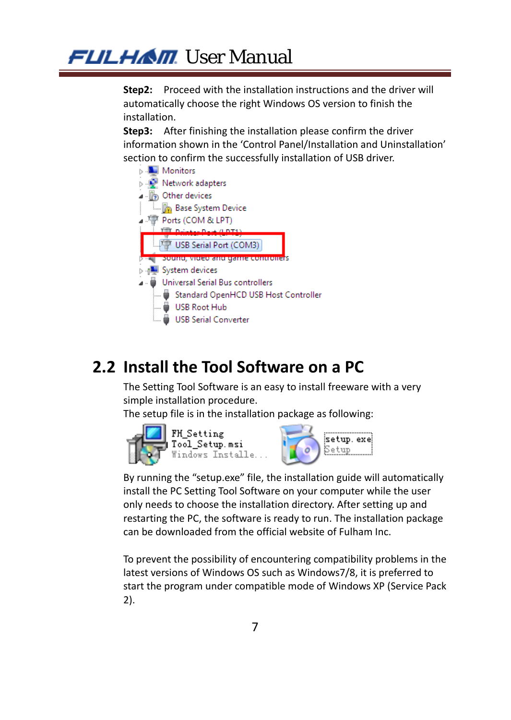#### **FLILHAM** User Manual

**Step2:** Proceed with the installation instructions and the driver will automatically choose the right Windows OS version to finish the installation.

**Step3:** After finishing the installation please confirm the driver information shown in the 'Control Panel/Installation and Uninstallation' section to confirm the successfully installation of USB driver.



#### **2.2 Install the Tool Software on a PC**

The Setting Tool Software is an easy to install freeware with a very simple installation procedure.

The setup file is in the installation package as following:



By running the "setup.exe" file, the installation guide will automatically install the PC Setting Tool Software on your computer while the user only needs to choose the installation directory. After setting up and restarting the PC, the software is ready to run. The installation package can be downloaded from the official website of Fulham Inc.

To prevent the possibility of encountering compatibility problems in the latest versions of Windows OS such as Windows7/8, it is preferred to start the program under compatible mode of Windows XP (Service Pack 2).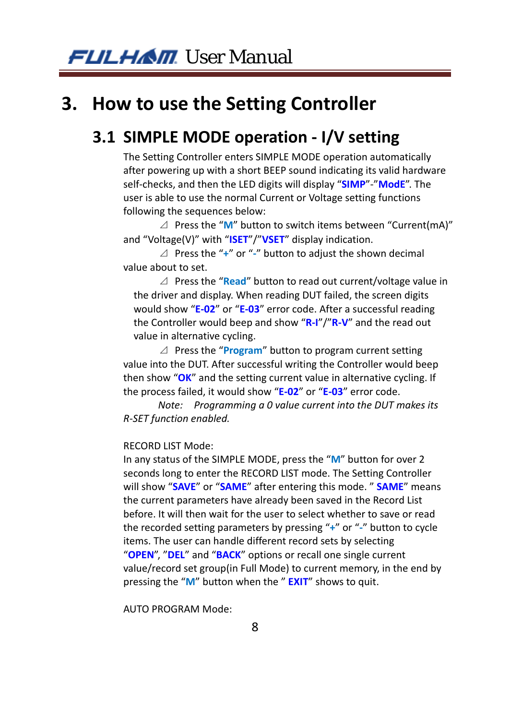**FLILHAM** User Manual

#### **3. How to use the Setting Controller**

#### **3.1 SIMPLE MODE operation ‐ I/V setting**

The Setting Controller enters SIMPLE MODE operation automatically after powering up with a short BEEP sound indicating its valid hardware self‐checks, and then the LED digits will display "**SIMP**"‐"**ModE**". The user is able to use the normal Current or Voltage setting functions following the sequences below:

⊿ Press the "**M**" button to switch items between "Current(mA)" and "Voltage(V)" with "**ISET**"/"**VSET**" display indication.

⊿ Press the "**+**" or "**‐**" button to adjust the shown decimal value about to set.

⊿ Press the "**Read**" button to read out current/voltage value in the driver and display. When reading DUT failed, the screen digits would show "**E‐02**" or "**E‐03**" error code. After a successful reading the Controller would beep and show "**R‐I**"/"**R‐V**" and the read out value in alternative cycling.

⊿ Press the "**Program**" button to program current setting value into the DUT. After successful writing the Controller would beep then show "**OK**" and the setting current value in alternative cycling. If the process failed, it would show "**E‐02**" or "**E‐03**" error code.

*Note: Programming a 0 value current into the DUT makes its R‐SET function enabled.*

#### RECORD LIST Mode:

In any status of the SIMPLE MODE, press the "**M**" button for over 2 seconds long to enter the RECORD LIST mode. The Setting Controller will show "**SAVE**" or "**SAME**" after entering this mode. " **SAME**" means the current parameters have already been saved in the Record List before. It will then wait for the user to select whether to save or read the recorded setting parameters by pressing "**+**" or "**‐**" button to cycle items. The user can handle different record sets by selecting "**OPEN**", "**DEL**" and "**BACK**" options or recall one single current value/record set group(in Full Mode) to current memory, in the end by pressing the "**M**" button when the " **EXIT**" shows to quit.

AUTO PROGRAM Mode: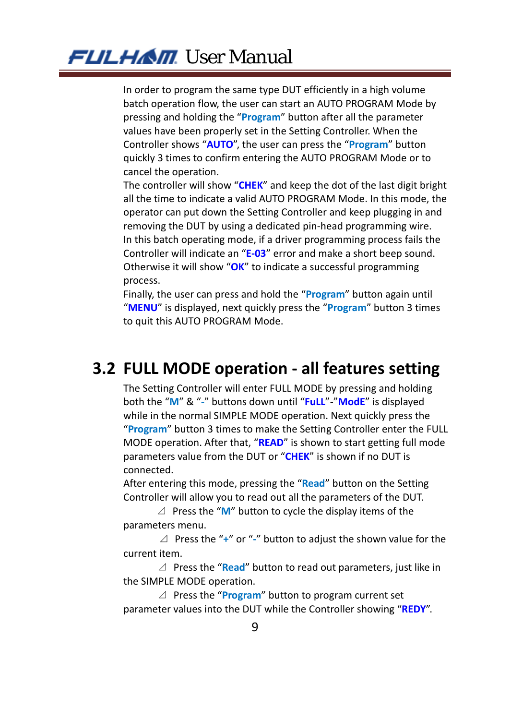In order to program the same type DUT efficiently in a high volume batch operation flow, the user can start an AUTO PROGRAM Mode by pressing and holding the "**Program**" button after all the parameter values have been properly set in the Setting Controller. When the Controller shows "**AUTO**", the user can press the "**Program**" button quickly 3 times to confirm entering the AUTO PROGRAM Mode or to cancel the operation.

The controller will show "**CHEK**" and keep the dot of the last digit bright all the time to indicate a valid AUTO PROGRAM Mode. In this mode, the operator can put down the Setting Controller and keep plugging in and removing the DUT by using a dedicated pin‐head programming wire. In this batch operating mode, if a driver programming process fails the Controller will indicate an "**E‐03**" error and make a short beep sound. Otherwise it will show "**OK**" to indicate a successful programming process.

Finally, the user can press and hold the "**Program**" button again until "**MENU**" is displayed, next quickly press the "**Program**" button 3 times to quit this AUTO PROGRAM Mode.

#### **3.2 FULL MODE operation ‐ all features setting**

The Setting Controller will enter FULL MODE by pressing and holding both the "**M**" & "**‐**" buttons down until "**FuLL**"‐"**ModE**" is displayed while in the normal SIMPLE MODE operation. Next quickly press the "**Program**" button 3 times to make the Setting Controller enter the FULL MODE operation. After that, "**READ**" is shown to start getting full mode parameters value from the DUT or "**CHEK**" is shown if no DUT is connected.

After entering this mode, pressing the "**Read**" button on the Setting Controller will allow you to read out all the parameters of the DUT.

 ⊿ Press the "**M**" button to cycle the display items of the parameters menu.

⊿ Press the "**+**" or "**‐**" button to adjust the shown value for the current item.

 ⊿ Press the "**Read**" button to read out parameters, just like in the SIMPLE MODE operation.

 ⊿ Press the "**Program**" button to program current set parameter values into the DUT while the Controller showing "**REDY**".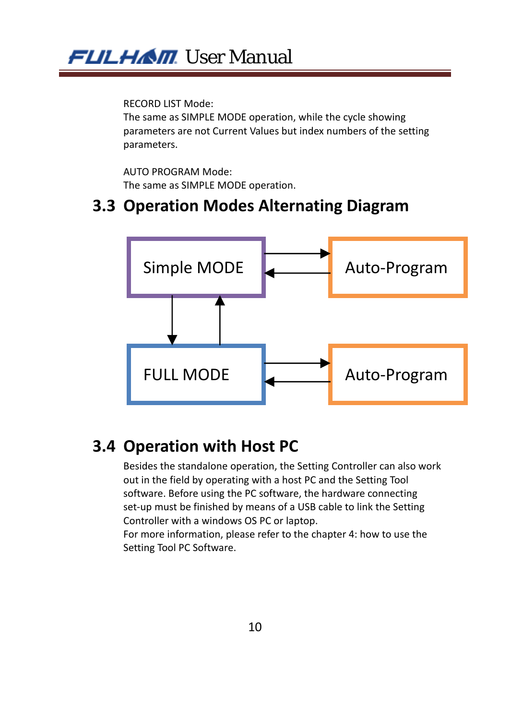#### RECORD LIST Mode:

The same as SIMPLE MODE operation, while the cycle showing parameters are not Current Values but index numbers of the setting parameters.

AUTO PROGRAM Mode: The same as SIMPLE MODE operation.

#### **3.3 Operation Modes Alternating Diagram**



#### **3.4 Operation with Host PC**

Besides the standalone operation, the Setting Controller can also work out in the field by operating with a host PC and the Setting Tool software. Before using the PC software, the hardware connecting set-up must be finished by means of a USB cable to link the Setting Controller with a windows OS PC or laptop.

For more information, please refer to the chapter 4: how to use the Setting Tool PC Software.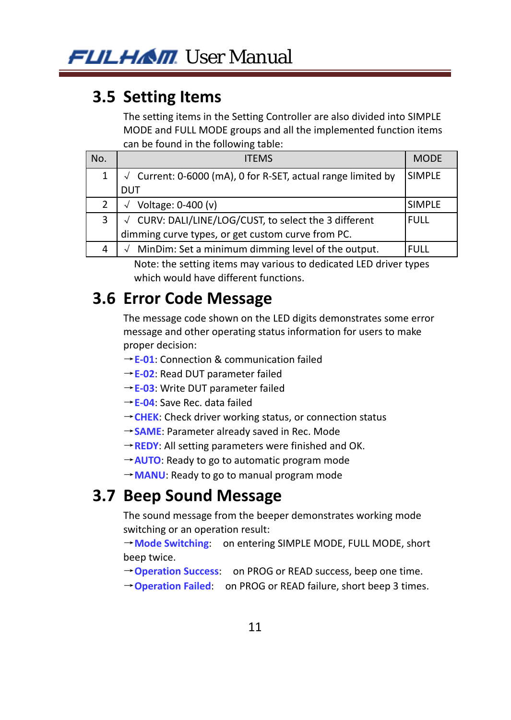#### **3.5 Setting Items**

The setting items in the Setting Controller are also divided into SIMPLE MODE and FULL MODE groups and all the implemented function items can be found in the following table:

| No. | <b>ITEMS</b>                                               | <b>MODE</b>   |
|-----|------------------------------------------------------------|---------------|
|     |                                                            |               |
| 1   | Current: 0-6000 (mA), 0 for R-SET, actual range limited by | <b>SIMPLE</b> |
|     |                                                            |               |
|     | DUT                                                        |               |
| 2   | Voltage: 0-400 (v)                                         | <b>SIMPLE</b> |
|     |                                                            |               |
| 3   | CURV: DALI/LINE/LOG/CUST, to select the 3 different        | <b>FULL</b>   |
|     |                                                            |               |
|     | dimming curve types, or get custom curve from PC.          |               |
|     |                                                            |               |
| 4   | MinDim: Set a minimum dimming level of the output.         | <b>FULL</b>   |

Note: the setting items may various to dedicated LED driver types which would have different functions.

#### **3.6 Error Code Message**

The message code shown on the LED digits demonstrates some error message and other operating status information for users to make proper decision:

- →**E‐01**: Connection & communication failed
- →**E‐02**: Read DUT parameter failed
- →**E‐03**: Write DUT parameter failed
- →**E‐04**: Save Rec. data failed
- →**CHEK**: Check driver working status, or connection status
- →**SAME**: Parameter already saved in Rec. Mode
- →**REDY**: All setting parameters were finished and OK.
- →**AUTO**: Ready to go to automatic program mode
- →**MANU**: Ready to go to manual program mode

#### **3.7 Beep Sound Message**

The sound message from the beeper demonstrates working mode switching or an operation result:

→**Mode Switching**: on entering SIMPLE MODE, FULL MODE, short beep twice.

- →**Operation Success**: on PROG or READ success, beep one time.
- →**Operation Failed**: on PROG or READ failure, short beep 3 times.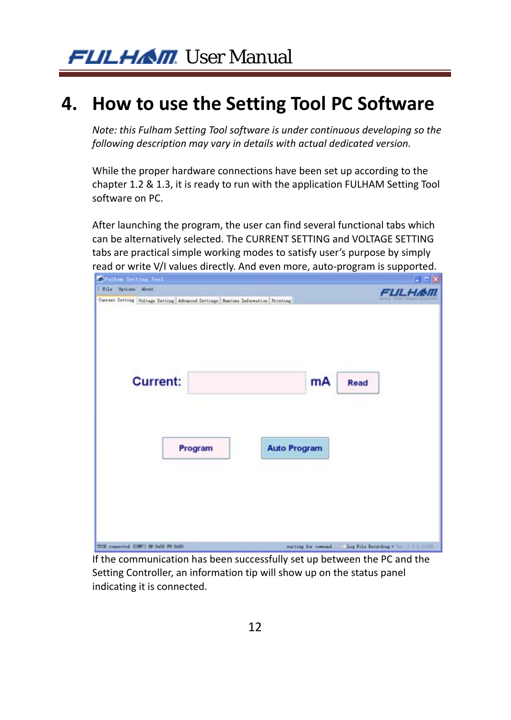### **4. How to use the Setting Tool PC Software**

*Note: this Fulham Setting Tool software is under continuous developing so the following description may vary in details with actual dedicated version.* 

While the proper hardware connections have been set up according to the chapter 1.2 & 1.3, it is ready to run with the application FULHAM Setting Tool software on PC.

After launching the program, the user can find several functional tabs which can be alternatively selected. The CURRENT SETTING and VOLTAGE SETTING tabs are practical simple working modes to satisfy user's purpose by simply read or write V/I values directly. And even more, auto‐program is supported.



If the communication has been successfully set up between the PC and the Setting Controller, an information tip will show up on the status panel indicating it is connected.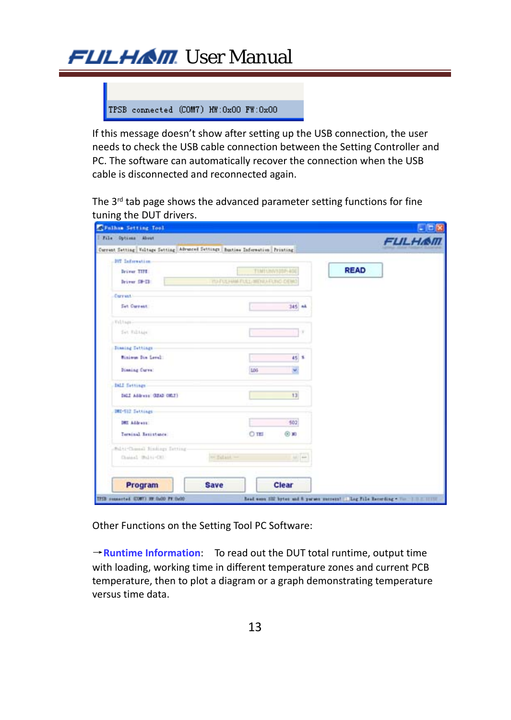| TPSB connected (COM7) HW:0x00 FW:0x00 |  |  |  |  |
|---------------------------------------|--|--|--|--|
|---------------------------------------|--|--|--|--|

If this message doesn't show after setting up the USB connection, the user needs to check the USB cable connection between the Setting Controller and PC. The software can automatically recover the connection when the USB cable is disconnected and reconnected again.

The 3<sup>rd</sup> tab page shows the advanced parameter setting functions for fine tuning the DUT drivers.

| <b>E-File Optime About</b>                                                     |                   |                               |                 | <b>FULHAM</b> |  |
|--------------------------------------------------------------------------------|-------------------|-------------------------------|-----------------|---------------|--|
| Current Setting Valtage Setting Advenced Settings Ingtine Information Printing |                   |                               |                 |               |  |
| <b>SUT Information</b>                                                         |                   |                               |                 |               |  |
| Driver TIFE                                                                    |                   |                               | TIMILNO108P-40E | <b>READ</b>   |  |
| briver SFD                                                                     |                   | YO FULHIM FULL-WEND FUND DEMO |                 |               |  |
| Current                                                                        |                   |                               |                 |               |  |
| <b>Sat Current:</b>                                                            |                   |                               | $345 - 44$      |               |  |
| Velhage-                                                                       |                   |                               |                 |               |  |
| fat Editar                                                                     |                   |                               | l s             |               |  |
| <b>Bissing Settings</b>                                                        |                   |                               |                 |               |  |
| <b>Bisinus Die Level:</b>                                                      |                   |                               | $45 - 1$        |               |  |
| <b>Disning Curve:</b>                                                          |                   | tist                          |                 |               |  |
| <b>IALI Settings</b>                                                           |                   |                               |                 |               |  |
| DALL Address (\$240 OR.T)                                                      |                   |                               | 13              |               |  |
| DED-512 Sattings                                                               |                   |                               |                 |               |  |
| DET Address:                                                                   |                   |                               | 502             |               |  |
| Terninal Besistance                                                            |                   | OTH                           | ® x0            |               |  |
| Subti-Chasnel Similage Setting                                                 |                   |                               |                 |               |  |
| Channel Bulki-City                                                             | <b>ANTIQUEL -</b> |                               | That are        |               |  |
| Program                                                                        | <b>Save</b>       |                               | Clear           |               |  |

Other Functions on the Setting Tool PC Software:

→**Runtime Information**: To read out the DUT total runtime, output time with loading, working time in different temperature zones and current PCB temperature, then to plot a diagram or a graph demonstrating temperature versus time data.